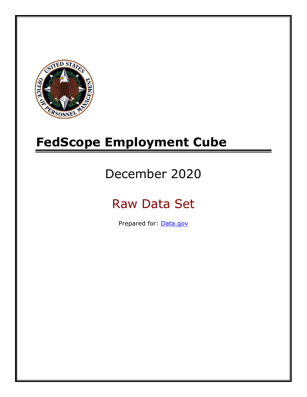

# **FedScope Employment Cube**

# December 2020

# Raw Data Set

Prepared for: [Data.gov](http://www.data.gov/)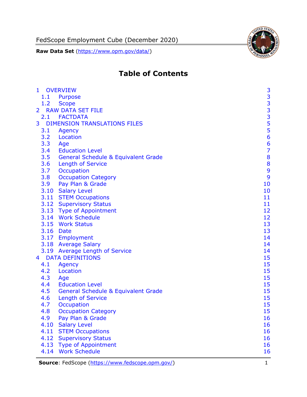**Raw Data Set** [\(https://www.opm.gov/data/\)](https://www.opm.gov/data/)



# **Table of Contents**

| $\mathbf{1}$   |           | <b>OVERVIEW</b>                                | 3                                          |
|----------------|-----------|------------------------------------------------|--------------------------------------------|
|                | 1.1       | Purpose                                        |                                            |
|                | 1.2       | <b>Scope</b>                                   |                                            |
| $\overline{2}$ |           | <b>RAW DATA SET FILE</b>                       | $\begin{array}{c} 3 \\ 3 \\ 3 \end{array}$ |
|                |           | 2.1 FACTDATA                                   |                                            |
| 3              |           | <b>DIMENSION TRANSLATIONS FILES</b>            |                                            |
|                | 3.1       | Agency                                         | $\frac{5}{5}$                              |
|                | 3.2       | Location                                       | 6                                          |
|                | 3.3       | Age                                            | 6                                          |
|                | 3.4       | <b>Education Level</b>                         | $\overline{7}$                             |
|                | 3.5       | <b>General Schedule &amp; Equivalent Grade</b> | 8                                          |
|                | 3.6       | <b>Length of Service</b>                       | 8                                          |
|                | 3.7       | Occupation                                     | 9                                          |
|                | 3.8       | <b>Occupation Category</b>                     | 9                                          |
|                | 3.9       | Pay Plan & Grade                               | 10                                         |
|                |           | 3.10 Salary Level                              | 10                                         |
|                |           | 3.11 STEM Occupations                          | 11                                         |
|                |           | 3.12 Supervisory Status                        | 11                                         |
|                |           | 3.13 Type of Appointment                       | 12                                         |
|                |           | 3.14 Work Schedule                             | 12                                         |
|                |           | 3.15 Work Status                               | 13                                         |
|                | 3.16 Date |                                                | 13                                         |
|                |           | 3.17 Employment                                | 14                                         |
|                |           | 3.18 Average Salary                            | 14                                         |
|                |           | 3.19 Average Length of Service                 | 14                                         |
| $\overline{4}$ |           | <b>DATA DEFINITIONS</b>                        | 15                                         |
|                | 4.1       | <b>Agency</b>                                  | 15                                         |
|                | 4.2       | Location                                       | 15                                         |
|                | 4.3       | Age                                            | 15                                         |
|                | 4.4       | <b>Education Level</b>                         | 15                                         |
|                | 4.5       | <b>General Schedule &amp; Equivalent Grade</b> | 15                                         |
|                | 4.6       | <b>Length of Service</b>                       | 15                                         |
|                | 4.7       | Occupation                                     | 15                                         |
|                | 4.8       | <b>Occupation Category</b>                     | 15                                         |
|                | 4.9       | Pay Plan & Grade                               | 16                                         |
|                | 4.10      | <b>Salary Level</b>                            | 16                                         |
|                | 4.11      | <b>STEM Occupations</b>                        | 16                                         |
|                | 4.12      | <b>Supervisory Status</b>                      | 16                                         |
|                | 4.13      | <b>Type of Appointment</b>                     | 16                                         |
|                | 4.14      | <b>Work Schedule</b>                           | 16                                         |

**Source**: FedScope [\(https://www.fedscope.opm.gov/\)](https://www.fedscope.opm.gov/) 1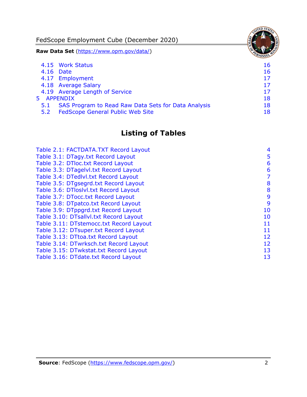FedScope Employment Cube (December 2020) **Raw Data Set** [\(https://www.opm.gov/data/\)](https://www.opm.gov/data/) 4.15 [Work Status](#page-16-6) 16 4.16 [Date](#page-16-7) 16 and 16 and 16 and 16 and 16 and 16 and 16 and 16 and 16 and 16 and 16 and 16 and 16 and 16 and 16 4.17 [Employment](#page-17-0) 17 4.18 [Average Salary](#page-17-1) 17 4.19 [Average Length of Service](#page-17-2) 17 and 17 5 [APPENDIX](#page-18-0) 18 5.1 [SAS Program to Read Raw Data Sets for Data Analysis](#page-18-1) 18 5.2 [FedScope General Public Web Site](#page-18-2) 18 and 18

### **Listing of Tables**

| Table 2.1: FACTDATA.TXT Record Layout   | 4  |
|-----------------------------------------|----|
| Table 3.1: DTagy.txt Record Layout      | 5  |
| Table 3.2: DTloc.txt Record Layout      | 6  |
| Table 3.3: DTagelvl.txt Record Layout   | 6  |
| Table 3.4: DTedlvl.txt Record Layout    | 7  |
| Table 3.5: DTgsegrd.txt Record Layout   | 8  |
| Table 3.6: DTloslvl.txt Record Layout   | 8  |
| Table 3.7: DTocc.txt Record Layout      | 9  |
| Table 3.8: DTpatco.txt Record Layout    | 9  |
| Table 3.9: DTppgrd.txt Record Layout    | 10 |
| Table 3.10: DTsallvl.txt Record Layout  | 10 |
| Table 3.11: DTstemocc.txt Record Layout | 11 |
| Table 3.12: DTsuper.txt Record Layout   | 11 |
| Table 3.13: DTtoa.txt Record Layout     | 12 |
| Table 3.14: DTwrksch.txt Record Layout  | 12 |
| Table 3.15: DTwkstat.txt Record Layout  | 13 |
| Table 3.16: DTdate.txt Record Layout    | 13 |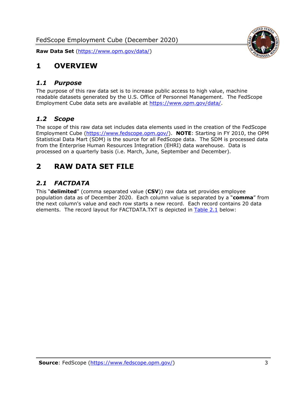

### <span id="page-3-0"></span>**1 OVERVIEW**

#### <span id="page-3-1"></span>*1.1 Purpose*

The purpose of this raw data set is to increase public access to high value, machine readable datasets generated by the U.S. Office of Personnel Management. The FedScope Employment Cube data sets are available at [https://www.opm.gov/data/.](https://www.opm.gov/data/)

#### <span id="page-3-2"></span>*1.2 Scope*

The scope of this raw data set includes data elements used in the creation of the FedScope Employment Cube [\(https://www.fedscope.opm.gov/\)](https://www.fedscope.opm.gov/). **NOTE**: Starting in FY 2010, the OPM Statistical Data Mart (SDM) is the source for all FedScope data. The SDM is processed data from the Enterprise Human Resources Integration (EHRI) data warehouse. Data is processed on a quarterly basis (i.e. March, June, September and December).

# <span id="page-3-3"></span>**2 RAW DATA SET FILE**

### <span id="page-3-4"></span>*2.1 FACTDATA*

This "**delimited**" (comma separated value (**CSV**)) raw data set provides employee population data as of December 2020. Each column value is separated by a "**comma**" from the next column's value and each row starts a new record. Each record contains 20 data elements. The record layout for FACTDATA.TXT is depicted in [Table 2.1](#page-4-0) below: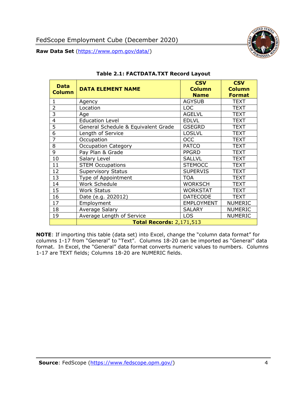

<span id="page-4-0"></span>

| <b>Data</b><br><b>Column</b> | <b>DATA ELEMENT NAME</b>            | <b>CSV</b><br><b>Column</b><br><b>Name</b> | <b>CSV</b><br><b>Column</b><br><b>Format</b> |
|------------------------------|-------------------------------------|--------------------------------------------|----------------------------------------------|
| 1                            | Agency                              | <b>AGYSUB</b>                              | <b>TEXT</b>                                  |
| $\overline{2}$               | Location                            | <b>LOC</b>                                 | <b>TEXT</b>                                  |
| 3                            | Age                                 | <b>AGELVL</b>                              | <b>TEXT</b>                                  |
| $\overline{4}$               | <b>Education Level</b>              | <b>EDLVL</b>                               | <b>TEXT</b>                                  |
| $\overline{5}$               | General Schedule & Equivalent Grade | <b>GSEGRD</b>                              | <b>TEXT</b>                                  |
| 6                            | Length of Service                   | <b>LOSLVL</b>                              | <b>TEXT</b>                                  |
| $\overline{7}$               | Occupation                          | <b>OCC</b>                                 | <b>TEXT</b>                                  |
| 8                            | <b>Occupation Category</b>          | <b>PATCO</b>                               | <b>TEXT</b>                                  |
| $\overline{9}$               | Pay Plan & Grade                    | <b>PPGRD</b>                               | <b>TEXT</b>                                  |
| 10                           | Salary Level                        | <b>SALLVL</b>                              | <b>TEXT</b>                                  |
| 11                           | <b>STEM Occupations</b>             | <b>STEMOCC</b>                             | <b>TEXT</b>                                  |
| 12                           | <b>Supervisory Status</b>           | <b>SUPERVIS</b>                            | <b>TEXT</b>                                  |
| 13                           | Type of Appointment                 | <b>TOA</b>                                 | <b>TEXT</b>                                  |
| 14                           | Work Schedule                       | <b>WORKSCH</b>                             | <b>TEXT</b>                                  |
| 15                           | <b>Work Status</b>                  | <b>WORKSTAT</b>                            | <b>TEXT</b>                                  |
| 16                           | Date (e.g. 202012)                  | <b>DATECODE</b>                            | <b>TEXT</b>                                  |
| 17                           | Employment                          | <b>EMPLOYMENT</b>                          | <b>NUMERIC</b>                               |
| 18                           | Average Salary                      | <b>SALARY</b>                              | <b>NUMERIC</b>                               |
| 19                           | Average Length of Service           | <b>LOS</b>                                 | <b>NUMERIC</b>                               |
|                              | <b>Total Records: 2,171,513</b>     |                                            |                                              |

#### **Table 2.1: FACTDATA.TXT Record Layout**

**NOTE**: If importing this table (data set) into Excel, change the "column data format" for columns 1-17 from "General" to "Text". Columns 18-20 can be imported as "General" data format. In Excel, the "General" data format converts numeric values to numbers. Columns 1-17 are TEXT fields; Columns 18-20 are NUMERIC fields.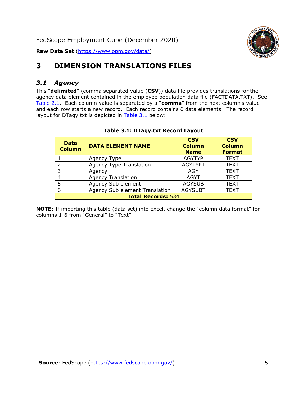

# <span id="page-5-0"></span>**3 DIMENSION TRANSLATIONS FILES**

#### <span id="page-5-1"></span>*3.1 Agency*

This "**delimited**" (comma separated value (**CSV**)) data file provides translations for the agency data element contained in the employee population data file (FACTDATA.TXT). See [Table 2.1.](#page-4-0) Each column value is separated by a "**comma**" from the next column's value and each row starts a new record. Each record contains 6 data elements. The record layout for DTagy.txt is depicted in **[Table 3.1](#page-5-2)** below:

<span id="page-5-2"></span>

| <b>Data</b><br><b>Column</b> | <b>DATA ELEMENT NAME</b>       | <b>CSV</b><br><b>Column</b><br><b>Name</b> | <b>CSV</b><br><b>Column</b><br><b>Format</b> |  |
|------------------------------|--------------------------------|--------------------------------------------|----------------------------------------------|--|
|                              | Agency Type                    | <b>AGYTYP</b>                              | <b>TEXT</b>                                  |  |
|                              | <b>Agency Type Translation</b> | <b>AGYTYPT</b>                             | <b>TEXT</b>                                  |  |
| २                            | Agency                         | AGY                                        | <b>TEXT</b>                                  |  |
|                              | <b>Agency Translation</b>      | <b>AGYT</b>                                | <b>TEXT</b>                                  |  |
|                              | Agency Sub element             | <b>AGYSUB</b>                              | <b>TEXT</b>                                  |  |
| 6                            | Agency Sub element Translation | <b>AGYSUBT</b>                             | <b>TEXT</b>                                  |  |
| <b>Total Records: 534</b>    |                                |                                            |                                              |  |

#### **Table 3.1: DTagy.txt Record Layout**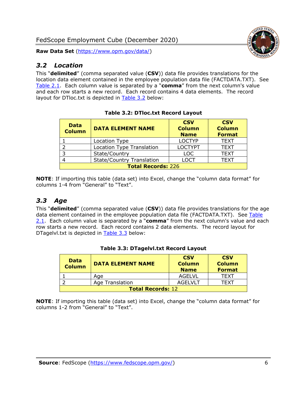#### <span id="page-6-0"></span>*3.2 Location*

This "**delimited**" (comma separated value (**CSV**)) data file provides translations for the location data element contained in the employee population data file (FACTDATA.TXT). See [Table 2.1.](#page-4-0) Each column value is separated by a "**comma**" from the next column's value and each row starts a new record. Each record contains 4 data elements. The record layout for DTloc.txt is depicted in [Table 3.2](#page-6-2) below:

<span id="page-6-2"></span>

| <b>Data</b><br><b>Column</b> | <b>DATA ELEMENT NAME</b>         | <b>CSV</b><br><b>Column</b><br><b>Name</b> | <b>CSV</b><br><b>Column</b><br><b>Format</b> |  |
|------------------------------|----------------------------------|--------------------------------------------|----------------------------------------------|--|
|                              | Location Type                    | <b>LOCTYP</b>                              | <b>TEXT</b>                                  |  |
|                              | Location Type Translation        | <b>LOCTYPT</b>                             | <b>TEXT</b>                                  |  |
|                              | State/Country                    | <b>LOC</b>                                 | <b>TEXT</b>                                  |  |
|                              | <b>State/Country Translation</b> | LOCT                                       | <b>TEXT</b>                                  |  |
| <b>Total Records: 226</b>    |                                  |                                            |                                              |  |

**Table 3.2: DTloc.txt Record Layout**

**NOTE**: If importing this table (data set) into Excel, change the "column data format" for columns 1-4 from "General" to "Text".

#### <span id="page-6-1"></span>*3.3 Age*

This "**delimited**" (comma separated value (**CSV**)) data file provides translations for the age data element contained in the employee population data file (FACTDATA.TXT). See Table [2.1.](#page-4-0) Each column value is separated by a "**comma**" from the next column's value and each row starts a new record. Each record contains 2 data elements. The record layout for DTagelvl.txt is depicted in [Table 3.3](#page-6-3) below:

<span id="page-6-3"></span>

| <b>Data</b><br><b>Column</b> | <b>DATA ELEMENT NAME</b> | <b>CSV</b><br><b>Column</b><br><b>Name</b> | <b>CSV</b><br><b>Column</b><br><b>Format</b> |
|------------------------------|--------------------------|--------------------------------------------|----------------------------------------------|
|                              | Age                      | AGELVL                                     | TFXT                                         |
|                              | Age Translation          | AGEL VLT                                   | TFXT                                         |
| <b>Total Records: 12</b>     |                          |                                            |                                              |

#### **Table 3.3: DTagelvl.txt Record Layout**

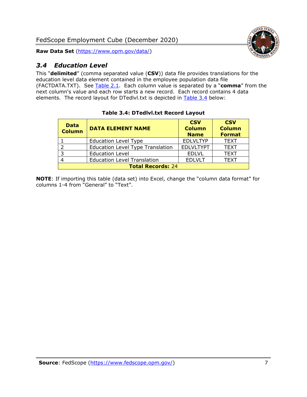**Raw Data Set** [\(https://www.opm.gov/data/\)](https://www.opm.gov/data/)

# <span id="page-7-0"></span>*3.4 Education Level*

This "**delimited**" (comma separated value (**CSV**)) data file provides translations for the education level data element contained in the employee population data file (FACTDATA.TXT). See [Table 2.1.](#page-4-0) Each column value is separated by a "**comma**" from the next column's value and each row starts a new record. Each record contains 4 data elements. The record layout for DTedlvl.txt is depicted in [Table 3.4](#page-7-1) below:

<span id="page-7-1"></span>

| <b>Data</b><br><b>Column</b> | <b>DATA ELEMENT NAME</b>                | <b>CSV</b><br><b>Column</b><br><b>Name</b> | <b>CSV</b><br><b>Column</b><br><b>Format</b> |  |
|------------------------------|-----------------------------------------|--------------------------------------------|----------------------------------------------|--|
|                              | <b>Education Level Type</b>             | <b>EDLVLTYP</b>                            | <b>TEXT</b>                                  |  |
|                              | <b>Education Level Type Translation</b> | <b>EDLVLTYPT</b>                           | <b>TEXT</b>                                  |  |
|                              | <b>Education Level</b>                  | <b>EDLVL</b>                               | <b>TEXT</b>                                  |  |
|                              | <b>Education Level Translation</b>      | <b>EDLVLT</b>                              | <b>TEXT</b>                                  |  |
| <b>Total Records: 24</b>     |                                         |                                            |                                              |  |

#### **Table 3.4: DTedlvl.txt Record Layout**

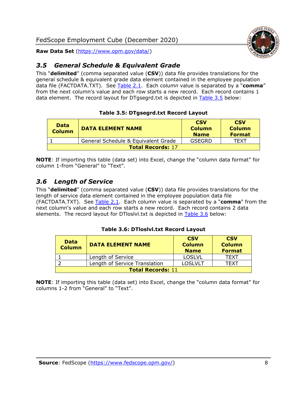#### <span id="page-8-0"></span>*3.5 General Schedule & Equivalent Grade*

This "**delimited**" (comma separated value (**CSV**)) data file provides translations for the general schedule & equivalent grade data element contained in the employee population data file (FACTDATA.TXT). See [Table 2.1.](#page-4-0) Each column value is separated by a "**comma**" from the next column's value and each row starts a new record. Each record contains 1 data element. The record layout for DTgsegrd.txt is depicted in [Table 3.5](#page-8-2) below:

#### **Table 3.5: DTgsegrd.txt Record Layout**

<span id="page-8-2"></span>

| <b>Data</b><br>Column | <b>DATA ELEMENT NAME</b>            | <b>CSV</b><br><b>Column</b><br><b>Name</b> | <b>CSV</b><br><b>Column</b><br><b>Format</b> |  |  |
|-----------------------|-------------------------------------|--------------------------------------------|----------------------------------------------|--|--|
|                       | General Schedule & Equivalent Grade | GSEGRD                                     | TFXT                                         |  |  |
|                       | <b>Total Records: 17</b>            |                                            |                                              |  |  |

**NOTE**: If importing this table (data set) into Excel, change the "column data format" for column 1-from "General" to "Text".

#### <span id="page-8-1"></span>*3.6 Length of Service*

This "**delimited**" (comma separated value (**CSV**)) data file provides translations for the length of service data element contained in the employee population data file (FACTDATA.TXT). See [Table 2.1.](#page-4-0) Each column value is separated by a "**comma**" from the next column's value and each row starts a new record. Each record contains 2 data elements. The record layout for DTloslvl.txt is depicted in [Table 3.6](#page-8-3) below:

#### **Table 3.6: DTloslvl.txt Record Layout**

<span id="page-8-3"></span>

| <b>Data</b><br><b>Column</b> | <b>DATA ELEMENT NAME</b>      | <b>CSV</b><br><b>Column</b><br><b>Name</b> | <b>CSV</b><br><b>Column</b><br><b>Format</b> |
|------------------------------|-------------------------------|--------------------------------------------|----------------------------------------------|
|                              | Length of Service             | <b>LOSLVL</b>                              | TFXT                                         |
|                              | Length of Service Translation | <b>LOSLVLT</b>                             | TFXT                                         |
| <b>Total Records: 11</b>     |                               |                                            |                                              |

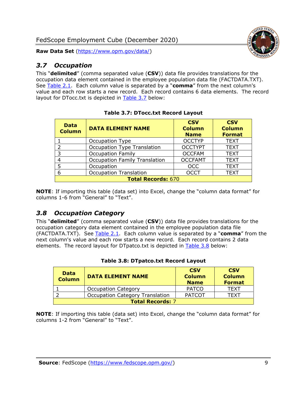#### <span id="page-9-0"></span>*3.7 Occupation*

This "**delimited**" (comma separated value (**CSV**)) data file provides translations for the occupation data element contained in the employee population data file (FACTDATA.TXT). See [Table 2.1.](#page-4-0) Each column value is separated by a "**comma**" from the next column's value and each row starts a new record. Each record contains 6 data elements. The record layout for DTocc.txt is depicted in [Table 3.7](#page-9-2) below:

<span id="page-9-2"></span>

| <b>Data</b><br><b>Column</b> | <b>DATA ELEMENT NAME</b>             | <b>CSV</b><br><b>Column</b><br><b>Name</b> | <b>CSV</b><br><b>Column</b><br><b>Format</b> |
|------------------------------|--------------------------------------|--------------------------------------------|----------------------------------------------|
|                              | Occupation Type                      | <b>OCCTYP</b>                              | <b>TEXT</b>                                  |
| 2                            | Occupation Type Translation          | <b>OCCTYPT</b>                             | <b>TEXT</b>                                  |
| 3                            | <b>Occupation Family</b>             | <b>OCCFAM</b>                              | <b>TEXT</b>                                  |
| 4                            | <b>Occupation Family Translation</b> | <b>OCCFAMT</b>                             | <b>TEXT</b>                                  |
| 5                            | Occupation                           | <b>OCC</b>                                 | <b>TEXT</b>                                  |
| 6                            | <b>Occupation Translation</b>        | <b>OCCT</b>                                | <b>TEXT</b>                                  |
|                              | <b>Total Records: 670</b>            |                                            |                                              |

| <b>Table 3.7: DTocc.txt Record Layout</b> |  |
|-------------------------------------------|--|
|-------------------------------------------|--|

**NOTE**: If importing this table (data set) into Excel, change the "column data format" for columns 1-6 from "General" to "Text".

#### <span id="page-9-1"></span>*3.8 Occupation Category*

This "**delimited**" (comma separated value (**CSV**)) data file provides translations for the occupation category data element contained in the employee population data file (FACTDATA.TXT). See [Table 2.1.](#page-4-0) Each column value is separated by a "**comma**" from the next column's value and each row starts a new record. Each record contains 2 data elements. The record layout for DTpatco.txt is depicted in [Table 3.8](#page-9-3) below:

<span id="page-9-3"></span>

| <b>Data</b><br><b>Column</b> | <b>DATA ELEMENT NAME</b>               | <b>CSV</b><br><b>Column</b><br><b>Name</b> | <b>CSV</b><br><b>Column</b><br><b>Format</b> |
|------------------------------|----------------------------------------|--------------------------------------------|----------------------------------------------|
|                              | <b>Occupation Category</b>             | <b>PATCO</b>                               | <b>TEXT</b>                                  |
|                              | <b>Occupation Category Translation</b> | <b>PATCOT</b>                              | TFXT                                         |
| <b>Total Records: 7</b>      |                                        |                                            |                                              |

#### **Table 3.8: DTpatco.txt Record Layout**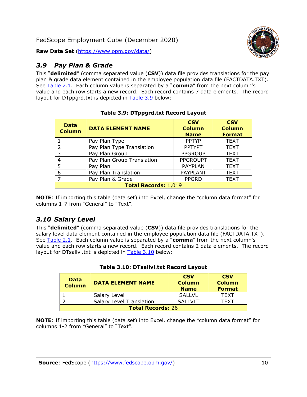#### <span id="page-10-0"></span>*3.9 Pay Plan & Grade*

This "**delimited**" (comma separated value (**CSV**)) data file provides translations for the pay plan & grade data element contained in the employee population data file (FACTDATA.TXT). See [Table 2.1.](#page-4-0) Each column value is separated by a "**comma**" from the next column's value and each row starts a new record. Each record contains 7 data elements. The record layout for DTppgrd.txt is depicted in [Table 3.9](#page-10-2) below:

<span id="page-10-2"></span>

| <b>Data</b><br><b>Column</b> | <b>DATA ELEMENT NAME</b>   | <b>CSV</b><br><b>Column</b><br><b>Name</b> | <b>CSV</b><br><b>Column</b><br><b>Format</b> |
|------------------------------|----------------------------|--------------------------------------------|----------------------------------------------|
|                              | Pay Plan Type              | <b>PPTYP</b>                               | <b>TEXT</b>                                  |
| $\mathcal{P}$                | Pay Plan Type Translation  | <b>PPTYPT</b>                              | <b>TEXT</b>                                  |
| 3                            | Pay Plan Group             | <b>PPGROUP</b>                             | <b>TEXT</b>                                  |
| 4                            | Pay Plan Group Translation | <b>PPGROUPT</b>                            | <b>TEXT</b>                                  |
| 5                            | Pay Plan                   | <b>PAYPLAN</b>                             | <b>TEXT</b>                                  |
| 6                            | Pay Plan Translation       | <b>PAYPLANT</b>                            | <b>TEXT</b>                                  |
| ⇁                            | Pay Plan & Grade           | <b>PPGRD</b>                               | <b>TEXT</b>                                  |
| <b>Total Records: 1,019</b>  |                            |                                            |                                              |

**Table 3.9: DTppgrd.txt Record Layout**

**NOTE**: If importing this table (data set) into Excel, change the "column data format" for columns 1-7 from "General" to "Text".

#### <span id="page-10-1"></span>*3.10 Salary Level*

This "**delimited**" (comma separated value (**CSV**)) data file provides translations for the salary level data element contained in the employee population data file (FACTDATA.TXT). See [Table 2.1.](#page-4-0) Each column value is separated by a "**comma**" from the next column's value and each row starts a new record. Each record contains 2 data elements. The record layout for DTsallvl.txt is depicted in [Table 3.10](#page-10-3) below:

<span id="page-10-3"></span>

| <b>Data</b><br><b>Column</b> | <b>DATA ELEMENT NAME</b>        | <b>CSV</b><br><b>Column</b><br><b>Name</b> | <b>CSV</b><br><b>Column</b><br><b>Format</b> |
|------------------------------|---------------------------------|--------------------------------------------|----------------------------------------------|
|                              | Salary Level                    | <b>SALLVL</b>                              | <b>TFXT</b>                                  |
|                              | <b>Salary Level Translation</b> | SALLVLT                                    | TFXT                                         |
| <b>Total Records: 26</b>     |                                 |                                            |                                              |

|  |  | Table 3.10: DTsallvl.txt Record Layout |
|--|--|----------------------------------------|
|--|--|----------------------------------------|

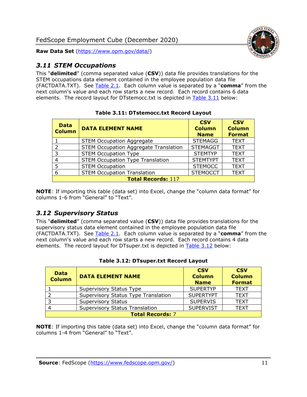

#### <span id="page-11-0"></span>*3.11 STEM Occupations*

This "**delimited**" (comma separated value (**CSV**)) data file provides translations for the STEM occupations data element contained in the employee population data file (FACTDATA.TXT). See [Table 2.1.](#page-4-0) Each column value is separated by a "**comma**" from the next column's value and each row starts a new record. Each record contains 6 data elements. The record layout for DTstemocc.txt is depicted in [Table 3.11](#page-11-2) below:

<span id="page-11-2"></span>

| <b>Data</b><br><b>Column</b> | <b>DATA ELEMENT NAME</b>                     | <b>CSV</b><br><b>Column</b><br><b>Name</b> | <b>CSV</b><br><b>Column</b><br><b>Format</b> |
|------------------------------|----------------------------------------------|--------------------------------------------|----------------------------------------------|
|                              | <b>STEM Occupation Aggregate</b>             | <b>STEMAGG</b>                             | <b>TEXT</b>                                  |
| $\overline{2}$               | <b>STEM Occupation Aggregate Translation</b> | <b>STEMAGGT</b>                            | <b>TEXT</b>                                  |
| 3                            | <b>STEM Occupation Type</b>                  | <b>STEMTYP</b>                             | <b>TEXT</b>                                  |
| $\overline{4}$               | <b>STEM Occupation Type Translation</b>      | <b>STEMTYPT</b>                            | <b>TEXT</b>                                  |
| 5                            | <b>STEM Occupation</b>                       | <b>STEMOCC</b>                             | <b>TEXT</b>                                  |
| 6                            | <b>STEM Occupation Translation</b>           | <b>STEMOCCT</b>                            | <b>TEXT</b>                                  |
| <b>Total Records: 117</b>    |                                              |                                            |                                              |

**Table 3.11: DTstemocc.txt Record Layout**

**NOTE**: If importing this table (data set) into Excel, change the "column data format" for columns 1-6 from "General" to "Text".

#### <span id="page-11-1"></span>*3.12 Supervisory Status*

This "**delimited**" (comma separated value (**CSV**)) data file provides translations for the supervisory status data element contained in the employee population data file (FACTDATA.TXT). See [Table 2.1.](#page-4-0) Each column value is separated by a "**comma**" from the next column's value and each row starts a new record. Each record contains 4 data elements. The record layout for DTsuper.txt is depicted in [Table 3.12](#page-11-3) below:

<span id="page-11-3"></span>

| <b>Data</b><br><b>Column</b> | <b>DATA ELEMENT NAME</b>              | <b>CSV</b><br><b>Column</b><br><b>Name</b> | <b>CSV</b><br><b>Column</b><br><b>Format</b> |
|------------------------------|---------------------------------------|--------------------------------------------|----------------------------------------------|
|                              | Supervisory Status Type               | <b>SUPERTYP</b>                            | <b>TEXT</b>                                  |
|                              | Supervisory Status Type Translation   | <b>SUPERTYPT</b>                           | <b>TEXT</b>                                  |
|                              | <b>Supervisory Status</b>             | <b>SUPERVIS</b>                            | <b>TEXT</b>                                  |
|                              | <b>Supervisory Status Translation</b> | <b>SUPERVIST</b>                           | <b>TEXT</b>                                  |
| <b>Total Records: 7</b>      |                                       |                                            |                                              |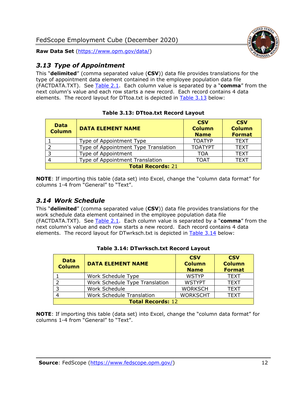

#### <span id="page-12-0"></span>*3.13 Type of Appointment*

This "**delimited**" (comma separated value (**CSV**)) data file provides translations for the type of appointment data element contained in the employee population data file (FACTDATA.TXT). See [Table 2.1.](#page-4-0) Each column value is separated by a "**comma**" from the next column's value and each row starts a new record. Each record contains 4 data elements. The record layout for DTtoa.txt is depicted in [Table 3.13](#page-12-2) below:

<span id="page-12-2"></span>

| <b>Data</b><br><b>Column</b> | <b>DATA ELEMENT NAME</b>             | <b>CSV</b><br><b>Column</b><br><b>Name</b> | <b>CSV</b><br><b>Column</b><br><b>Format</b> |
|------------------------------|--------------------------------------|--------------------------------------------|----------------------------------------------|
|                              | Type of Appointment Type             | <b>TOATYP</b>                              | <b>TEXT</b>                                  |
|                              | Type of Appointment Type Translation | <b>TOATYPT</b>                             | <b>TEXT</b>                                  |
| 3                            | Type of Appointment                  | TOA                                        | <b>TEXT</b>                                  |
|                              | Type of Appointment Translation      | <b>TOAT</b>                                | <b>TEXT</b>                                  |
| <b>Total Records: 21</b>     |                                      |                                            |                                              |

#### **Table 3.13: DTtoa.txt Record Layout**

**NOTE**: If importing this table (data set) into Excel, change the "column data format" for columns 1-4 from "General" to "Text".

#### <span id="page-12-1"></span>*3.14 Work Schedule*

This "**delimited**" (comma separated value (**CSV**)) data file provides translations for the work schedule data element contained in the employee population data file (FACTDATA.TXT). See [Table 2.1.](#page-4-0) Each column value is separated by a "**comma**" from the next column's value and each row starts a new record. Each record contains 4 data elements. The record layout for DTwrksch.txt is depicted in [Table 3.14](#page-12-3) below:

<span id="page-12-3"></span>

| <b>Data</b><br><b>Column</b> | <b>DATA ELEMENT NAME</b>         | <b>CSV</b><br><b>Column</b><br><b>Name</b> | <b>CSV</b><br><b>Column</b><br><b>Format</b> |
|------------------------------|----------------------------------|--------------------------------------------|----------------------------------------------|
|                              | Work Schedule Type               | <b>WSTYP</b>                               | <b>TEXT</b>                                  |
|                              | Work Schedule Type Translation   | <b>WSTYPT</b>                              | <b>TEXT</b>                                  |
| -3                           | Work Schedule                    | <b>WORKSCH</b>                             | <b>TEXT</b>                                  |
|                              | <b>Work Schedule Translation</b> | <b>WORKSCHT</b>                            | <b>TEXT</b>                                  |
| <b>Total Records: 12</b>     |                                  |                                            |                                              |

#### **Table 3.14: DTwrksch.txt Record Layout**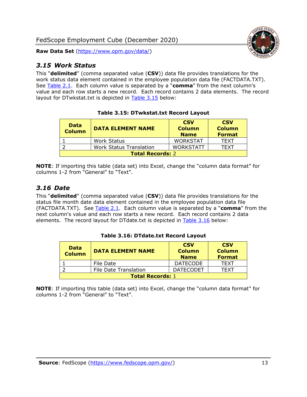#### <span id="page-13-0"></span>*3.15 Work Status*

This "**delimited**" (comma separated value (**CSV**)) data file provides translations for the work status data element contained in the employee population data file (FACTDATA.TXT). See [Table 2.1.](#page-4-0) Each column value is separated by a "**comma**" from the next column's value and each row starts a new record. Each record contains 2 data elements. The record layout for DTwkstat.txt is depicted in [Table 3.15](#page-13-2) below:

<span id="page-13-2"></span>

| <b>Data</b><br><b>Column</b> | <b>DATA ELEMENT NAME</b>       | <b>CSV</b><br><b>Column</b><br><b>Name</b> | <b>CSV</b><br><b>Column</b><br><b>Format</b> |
|------------------------------|--------------------------------|--------------------------------------------|----------------------------------------------|
|                              | <b>Work Status</b>             | <b>WORKSTAT</b>                            | <b>TFXT</b>                                  |
|                              | <b>Work Status Translation</b> | <b>WORKSTATT</b>                           | TFXT                                         |
| <b>Total Records: 2</b>      |                                |                                            |                                              |

**Table 3.15: DTwkstat.txt Record Layout**

**NOTE**: If importing this table (data set) into Excel, change the "column data format" for columns 1-2 from "General" to "Text".

#### <span id="page-13-1"></span>*3.16 Date*

This "**delimited**" (comma separated value (**CSV**)) data file provides translations for the status file month date data element contained in the employee population data file (FACTDATA.TXT). See [Table 2.1.](#page-4-0) Each column value is separated by a "**comma**" from the next column's value and each row starts a new record. Each record contains 2 data elements. The record layout for DTdate.txt is depicted in [Table 3.16](#page-13-3) below:

<span id="page-13-3"></span>

| <b>Data</b><br><b>Column</b> | <b>DATA ELEMENT NAME</b>     | <b>CSV</b><br><b>Column</b><br><b>Name</b> | <b>CSV</b><br><b>Column</b><br><b>Format</b> |
|------------------------------|------------------------------|--------------------------------------------|----------------------------------------------|
|                              | File Date                    | <b>DATECODE</b>                            | <b>TFXT</b>                                  |
|                              | <b>File Date Translation</b> | <b>DATECODET</b>                           | TFXT                                         |
| <b>Total Records: 1</b>      |                              |                                            |                                              |

**Table 3.16: DTdate.txt Record Layout**

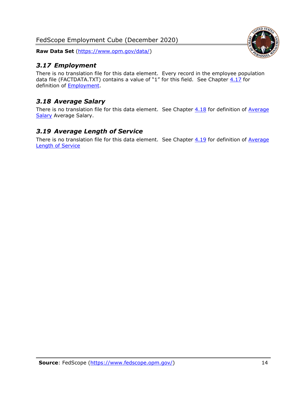**Raw Data Set** [\(https://www.opm.gov/data/\)](https://www.opm.gov/data/)

#### <span id="page-14-0"></span>*3.17 Employment*

There is no translation file for this data element. Every record in the employee population data file (FACTDATA.TXT) contains a value of "1" for this field. See Chapter  $4.17$  for definition of [Employment.](#page-17-0)

#### <span id="page-14-1"></span>*3.18 Average Salary*

There is no translation file for this data element. See Chapter  $4.18$  for definition of Average [Salary](#page-17-1) [Average Salary.](#page-17-1)

#### <span id="page-14-2"></span>*3.19 Average Length of Service*

There is no translation file for this data element. See Chapter  $4.19$  for definition of Average [Length of Service](#page-17-2)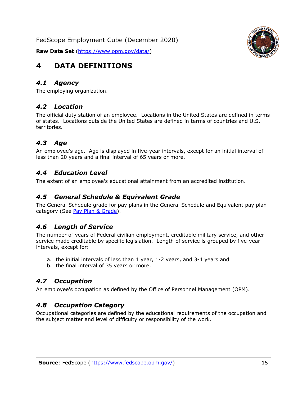

# <span id="page-15-0"></span>**4 DATA DEFINITIONS**

#### <span id="page-15-1"></span>*4.1 Agency*

<span id="page-15-2"></span>The employing organization.

#### *4.2 Location*

The official duty station of an employee. Locations in the United States are defined in terms of states. Locations outside the United States are defined in terms of countries and U.S. territories.

#### <span id="page-15-3"></span>*4.3 Age*

An employee's age. Age is displayed in five-year intervals, except for an initial interval of less than 20 years and a final interval of 65 years or more.

#### <span id="page-15-4"></span>*4.4 Education Level*

<span id="page-15-5"></span>The extent of an employee's educational attainment from an accredited institution.

#### *4.5 General Schedule & Equivalent Grade*

The General Schedule grade for pay plans in the General Schedule and Equivalent pay plan category (See [Pay Plan & Grade\)](#page-16-0).

#### <span id="page-15-6"></span>*4.6 Length of Service*

The number of years of Federal civilian employment, creditable military service, and other service made creditable by specific legislation. Length of service is grouped by five-year intervals, except for:

- a. the initial intervals of less than 1 year, 1-2 years, and 3-4 years and
- b. the final interval of 35 years or more.

#### <span id="page-15-7"></span>*4.7 Occupation*

<span id="page-15-8"></span>An employee's occupation as defined by the Office of Personnel Management (OPM).

#### *4.8 Occupation Category*

Occupational categories are defined by the educational requirements of the occupation and the subject matter and level of difficulty or responsibility of the work.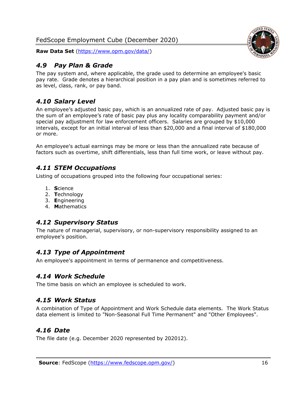#### <span id="page-16-0"></span>*4.9 Pay Plan & Grade*

The pay system and, where applicable, the grade used to determine an employee's basic pay rate. Grade denotes a hierarchical position in a pay plan and is sometimes referred to as level, class, rank, or pay band.

#### <span id="page-16-1"></span>*4.10 Salary Level*

An employee's adjusted basic pay, which is an annualized rate of pay. Adjusted basic pay is the sum of an employee's rate of basic pay plus any locality comparability payment and/or special pay adjustment for law enforcement officers. Salaries are grouped by \$10,000 intervals, except for an initial interval of less than \$20,000 and a final interval of \$180,000 or more.

An employee's actual earnings may be more or less than the annualized rate because of factors such as overtime, shift differentials, less than full time work, or leave without pay.

#### <span id="page-16-2"></span>*4.11 STEM Occupations*

Listing of occupations grouped into the following four occupational series:

- 1. **S**cience
- 2. **T**echnology
- 3. **E**ngineering
- 4. **M**athematics

#### <span id="page-16-3"></span>*4.12 Supervisory Status*

The nature of managerial, supervisory, or non-supervisory responsibility assigned to an employee's position.

#### <span id="page-16-4"></span>*4.13 Type of Appointment*

<span id="page-16-5"></span>An employee's appointment in terms of permanence and competitiveness.

#### *4.14 Work Schedule*

<span id="page-16-6"></span>The time basis on which an employee is scheduled to work.

#### *4.15 Work Status*

A combination of Type of Appointment and Work Schedule data elements. The Work Status data element is limited to "Non-Seasonal Full Time Permanent" and "Other Employees".

#### <span id="page-16-7"></span>*4.16 Date*

<span id="page-16-8"></span>The file date (e.g. December 2020 represented by 202012).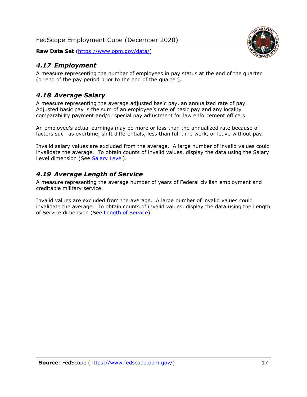#### <span id="page-17-0"></span>*4.17 Employment*

A measure representing the number of employees in pay status at the end of the quarter (or end of the pay period prior to the end of the quarter).

#### <span id="page-17-1"></span>*4.18 Average Salary*

A measure representing the average adjusted basic pay, an annualized rate of pay. Adjusted basic pay is the sum of an employee's rate of basic pay and any locality comparability payment and/or special pay adjustment for law enforcement officers.

An employee's actual earnings may be more or less than the annualized rate because of factors such as overtime, shift differentials, less than full time work, or leave without pay.

Invalid salary values are excluded from the average. A large number of invalid values could invalidate the average. To obtain counts of invalid values, display the data using the Salary Level dimension (See [Salary Level\)](#page-16-1).

#### <span id="page-17-2"></span>*4.19 Average Length of Service*

A measure representing the average number of years of Federal civilian employment and creditable military service.

Invalid values are excluded from the average. A large number of invalid values could invalidate the average. To obtain counts of invalid values, display the data using the Length of Service dimension (See [Length of Service\)](#page-15-6).